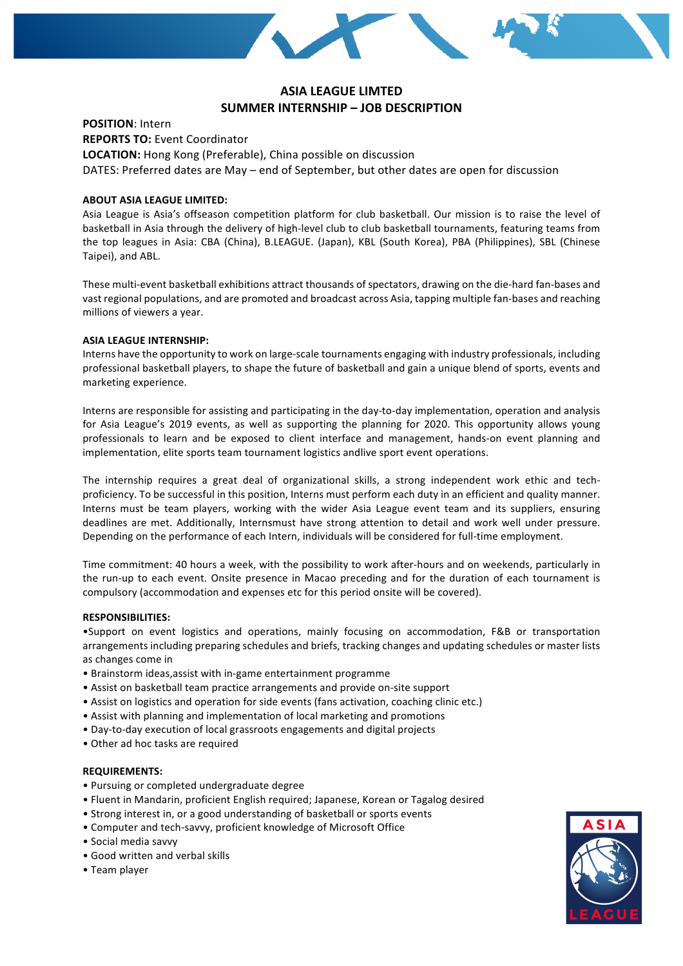

# **ASIA LEAGUE LIMTED SUMMER INTERNSHIP - JOB DESCRIPTION**

**POSITION:** Intern

**REPORTS TO: Event Coordinator** 

**LOCATION:** Hong Kong (Preferable), China possible on discussion

DATES: Preferred dates are May – end of September, but other dates are open for discussion

## **ABOUT ASIA LEAGUE LIMITED:**

Asia League is Asia's offseason competition platform for club basketball. Our mission is to raise the level of basketball in Asia through the delivery of high-level club to club basketball tournaments, featuring teams from the top leagues in Asia: CBA (China), B.LEAGUE. (Japan), KBL (South Korea), PBA (Philippines), SBL (Chinese Taipei), and ABL.

These multi-event basketball exhibitions attract thousands of spectators, drawing on the die-hard fan-bases and vast regional populations, and are promoted and broadcast across Asia, tapping multiple fan-bases and reaching millions of viewers a year.

### **ASIA LEAGUE INTERNSHIP:**

Interns have the opportunity to work on large-scale tournaments engaging with industry professionals, including professional basketball players, to shape the future of basketball and gain a unique blend of sports, events and marketing experience.

Interns are responsible for assisting and participating in the day-to-day implementation, operation and analysis for Asia League's 2019 events, as well as supporting the planning for 2020. This opportunity allows young professionals to learn and be exposed to client interface and management, hands-on event planning and implementation, elite sports team tournament logistics andlive sport event operations.

The internship requires a great deal of organizational skills, a strong independent work ethic and techproficiency. To be successful in this position, Interns must perform each duty in an efficient and quality manner. Interns must be team players, working with the wider Asia League event team and its suppliers, ensuring deadlines are met. Additionally, Internsmust have strong attention to detail and work well under pressure. Depending on the performance of each Intern, individuals will be considered for full-time employment.

Time commitment: 40 hours a week, with the possibility to work after-hours and on weekends, particularly in the run-up to each event. Onsite presence in Macao preceding and for the duration of each tournament is compulsory (accommodation and expenses etc for this period onsite will be covered).

### **RESPONSIBILITIES:**

•Support on event logistics and operations, mainly focusing on accommodation, F&B or transportation arrangements including preparing schedules and briefs, tracking changes and updating schedules or master lists as changes come in

- Brainstorm ideas, assist with in-game entertainment programme
- Assist on basketball team practice arrangements and provide on-site support
- Assist on logistics and operation for side events (fans activation, coaching clinic etc.)
- Assist with planning and implementation of local marketing and promotions
- Day-to-day execution of local grassroots engagements and digital projects
- Other ad hoc tasks are required

### **REQUIREMENTS:**

- Pursuing or completed undergraduate degree
- Fluent in Mandarin, proficient English required; Japanese, Korean or Tagalog desired
- Strong interest in, or a good understanding of basketball or sports events
- Computer and tech-savvy, proficient knowledge of Microsoft Office
- • Social media savvy
- Good written and verbal skills
- • Team player